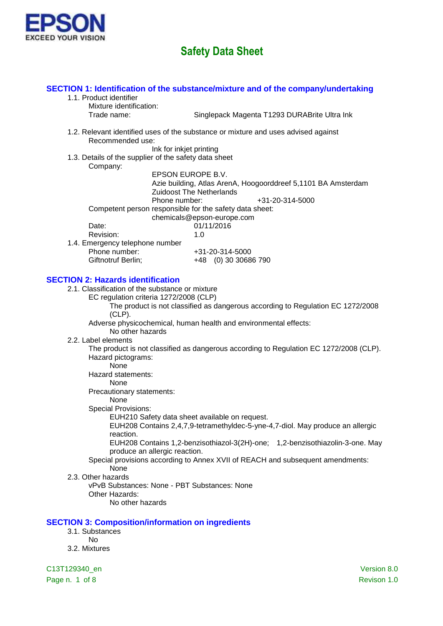

### **SECTION 1: Identification of the substance/mixture and of the company/undertaking** 1.1. Product identifier Mixture identification: Trade name: Singlepack Magenta T1293 DURABrite Ultra Ink 1.2. Relevant identified uses of the substance or mixture and uses advised against Recommended use: Ink for inkjet printing 1.3. Details of the supplier of the safety data sheet Company: EPSON EUROPE B.V. Azie building, Atlas ArenA, Hoogoorddreef 5,1101 BA Amsterdam Zuidoost The Netherlands Phone number:  $+31-20-314-5000$ Competent person responsible for the safety data sheet: chemicals@epson-europe.com Date: 01/11/2016 Revision: 1.0 1.4. Emergency telephone number Phone number: +31-20-314-5000 Giftnotruf Berlin; +48 (0) 30 30686 790 **SECTION 2: Hazards identification** 2.1. Classification of the substance or mixture EC regulation criteria 1272/2008 (CLP) The product is not classified as dangerous according to Regulation EC 1272/2008 (CLP). Adverse physicochemical, human health and environmental effects: No other hazards 2.2. Label elements The product is not classified as dangerous according to Regulation EC 1272/2008 (CLP). Hazard pictograms: None Hazard statements: None

Precautionary statements:

### None

Special Provisions:

EUH210 Safety data sheet available on request.

EUH208 Contains 2,4,7,9-tetramethyldec-5-yne-4,7-diol. May produce an allergic reaction.

EUH208 Contains 1,2-benzisothiazol-3(2H)-one; 1,2-benzisothiazolin-3-one. May produce an allergic reaction.

### Special provisions according to Annex XVII of REACH and subsequent amendments: None

#### 2.3. Other hazards

vPvB Substances: None - PBT Substances: None Other Hazards: No other hazards

### **SECTION 3: Composition/information on ingredients**

- 3.1. Substances
	- No
- 3.2. Mixtures

C13T129340\_en Version 8.0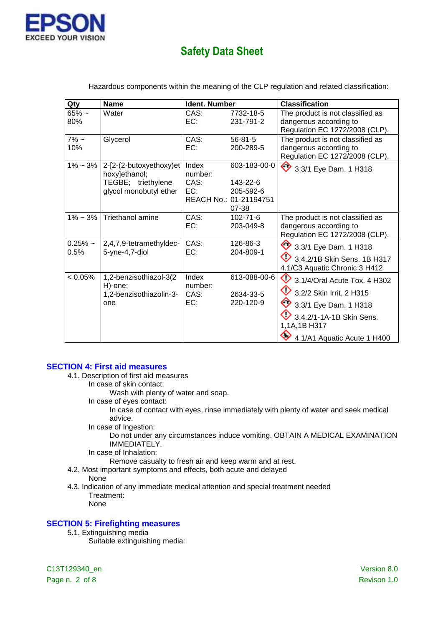

| Qty                | <b>Name</b>                               | Ident. Number    |                        | <b>Classification</b>                                        |
|--------------------|-------------------------------------------|------------------|------------------------|--------------------------------------------------------------|
| $65% -$<br>80%     | Water                                     | CAS:<br>EC:      | 7732-18-5<br>231-791-2 | The product is not classified as<br>dangerous according to   |
|                    |                                           |                  |                        | Regulation EC 1272/2008 (CLP).                               |
| $7\%$ ~            | Glycerol                                  | CAS:             | $56 - 81 - 5$          | The product is not classified as                             |
| 10%                |                                           | EC:              | 200-289-5              | dangerous according to<br>Regulation EC 1272/2008 (CLP).     |
| $1\% \sim 3\%$     | 2-[2-(2-butoxyethoxy)et<br>hoxy]ethanol;  | Index<br>number: | 603-183-00-0           | ◇<br>3.3/1 Eye Dam. 1 H318                                   |
|                    | TEGBE; triethylene                        | CAS:             | 143-22-6               |                                                              |
|                    | glycol monobutyl ether                    | EC:              | 205-592-6              |                                                              |
|                    |                                           |                  | REACH No.: 01-21194751 |                                                              |
|                    |                                           |                  | 07-38                  |                                                              |
|                    | $1\%$ ~ 3% Triethanol amine               | CAS:             | $102 - 71 - 6$         | The product is not classified as                             |
|                    |                                           | EC:              | 203-049-8              | dangerous according to<br>Regulation EC 1272/2008 (CLP).     |
| $0.25\%$ ~<br>0.5% | 2,4,7,9-tetramethyldec-<br>5-yne-4,7-diol | CAS:<br>EC:      | 126-86-3<br>204-809-1  | 3.3/1 Eye Dam. 1 H318                                        |
|                    |                                           |                  |                        | 3.4.2/1B Skin Sens, 1B H317<br>4.1/C3 Aquatic Chronic 3 H412 |
| $< 0.05\%$         | 1,2-benzisothiazol-3(2<br>H)-one;         | Index<br>number: | 613-088-00-6           | ◇<br>3.1/4/Oral Acute Tox. 4 H302                            |
|                    | 1,2-benzisothiazolin-3-                   | CAS:             | 2634-33-5              | ◇<br>3.2/2 Skin Irrit. 2 H315                                |
|                    | one                                       | EC:              | 220-120-9              | ♦<br>3.3/1 Eye Dam. 1 H318                                   |
|                    |                                           |                  |                        | 3.4.2/1-1A-1B Skin Sens.<br>1,1A,1B H317                     |
|                    |                                           |                  |                        | $\bm{\mathbin{\diamond}}$<br>4.1/A1 Aquatic Acute 1 H400     |

Hazardous components within the meaning of the CLP regulation and related classification:

### **SECTION 4: First aid measures**

- 4.1. Description of first aid measures
	- In case of skin contact:
		- Wash with plenty of water and soap.
		- In case of eyes contact:

In case of contact with eyes, rinse immediately with plenty of water and seek medical advice.

In case of Ingestion:

Do not under any circumstances induce vomiting. OBTAIN A MEDICAL EXAMINATION IMMEDIATELY.

In case of Inhalation:

Remove casualty to fresh air and keep warm and at rest.

- 4.2. Most important symptoms and effects, both acute and delayed
- None
- 4.3. Indication of any immediate medical attention and special treatment needed Treatment:

None

### **SECTION 5: Firefighting measures**

5.1. Extinguishing media

Suitable extinguishing media:

C13T129340\_en Version 8.0 Page n. 2 of 8 Revison 1.0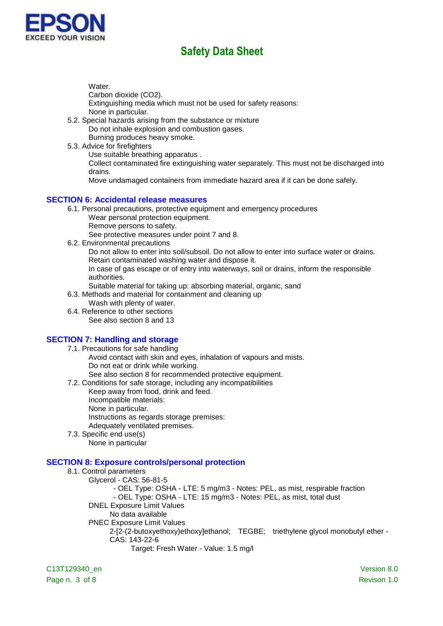

Water.

Carbon dioxide (CO2).

Extinguishing media which must not be used for safety reasons: None in particular.

- 5.2. Special hazards arising from the substance or mixture Do not inhale explosion and combustion gases. Burning produces heavy smoke.
- 5.3. Advice for firefighters

Use suitable breathing apparatus .

Collect contaminated fire extinguishing water separately. This must not be discharged into drains.

Move undamaged containers from immediate hazard area if it can be done safely.

### **SECTION 6: Accidental release measures**

- 6.1. Personal precautions, protective equipment and emergency procedures
	- Wear personal protection equipment.
	- Remove persons to safety.

See protective measures under point 7 and 8.

6.2. Environmental precautions

Do not allow to enter into soil/subsoil. Do not allow to enter into surface water or drains. Retain contaminated washing water and dispose it.

In case of gas escape or of entry into waterways, soil or drains, inform the responsible authorities.

Suitable material for taking up: absorbing material, organic, sand

6.3. Methods and material for containment and cleaning up

- Wash with plenty of water.
- 6.4. Reference to other sections See also section 8 and 13

## **SECTION 7: Handling and storage**

- 7.1. Precautions for safe handling Avoid contact with skin and eyes, inhalation of vapours and mists. Do not eat or drink while working. See also section 8 for recommended protective equipment.
- 7.2. Conditions for safe storage, including any incompatibilities
	- Keep away from food, drink and feed.
		- Incompatible materials:
		- None in particular.
		- Instructions as regards storage premises:

Adequately ventilated premises.

7.3. Specific end use(s) None in particular

## **SECTION 8: Exposure controls/personal protection**

### 8.1. Control parameters Glycerol - CAS: 56-81-5 - OEL Type: OSHA - LTE: 5 mg/m3 - Notes: PEL, as mist, respirable fraction - OEL Type: OSHA - LTE: 15 mg/m3 - Notes: PEL, as mist, total dust DNEL Exposure Limit Values No data available PNEC Exposure Limit Values 2-[2-(2-butoxyethoxy)ethoxy]ethanol; TEGBE; triethylene glycol monobutyl ether - CAS: 143-22-6 Target: Fresh Water - Value: 1.5 mg/l

C13T129340\_en Version 8.0 Page n. 3 of 8 Revison 1.0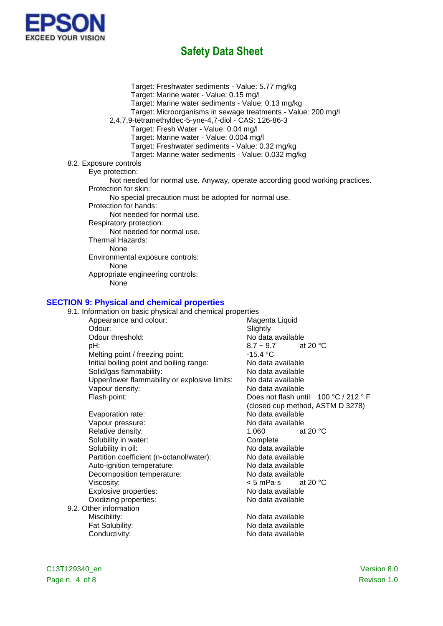

Target: Freshwater sediments - Value: 5.77 mg/kg Target: Marine water - Value: 0.15 mg/l Target: Marine water sediments - Value: 0.13 mg/kg Target: Microorganisms in sewage treatments - Value: 200 mg/l 2,4,7,9-tetramethyldec-5-yne-4,7-diol - CAS: 126-86-3 Target: Fresh Water - Value: 0.04 mg/l Target: Marine water - Value: 0.004 mg/l Target: Freshwater sediments - Value: 0.32 mg/kg Target: Marine water sediments - Value: 0.032 mg/kg 8.2. Exposure controls Eye protection: Not needed for normal use. Anyway, operate according good working practices. Protection for skin: No special precaution must be adopted for normal use. Protection for hands: Not needed for normal use. Respiratory protection: Not needed for normal use. Thermal Hazards: None Environmental exposure controls: None Appropriate engineering controls: None

### **SECTION 9: Physical and chemical properties**

| 9.1. Information on basic physical and chemical properties |                                       |
|------------------------------------------------------------|---------------------------------------|
| Appearance and colour:                                     | Magenta Liquid                        |
| Odour:                                                     | Slightly                              |
| Odour threshold:                                           | No data available                     |
| pH:                                                        | $8.7 - 9.7$<br>at 20 $\degree$ C      |
| Melting point / freezing point:                            | -15.4 °C                              |
| Initial boiling point and boiling range:                   | No data available                     |
| Solid/gas flammability:                                    | No data available                     |
| Upper/lower flammability or explosive limits:              | No data available                     |
| Vapour density:                                            | No data available                     |
| Flash point:                                               | Does not flash until 100 °C / 212 ° F |
|                                                            | (closed cup method, ASTM D 3278)      |
| Evaporation rate:                                          | No data available                     |
| Vapour pressure:                                           | No data available                     |
| Relative density:                                          | at 20 $\degree$ C<br>1.060            |
| Solubility in water:                                       | Complete                              |
| Solubility in oil:                                         | No data available                     |
| Partition coefficient (n-octanol/water):                   | No data available                     |
| Auto-ignition temperature:                                 | No data available                     |
| Decomposition temperature:                                 | No data available                     |
| Viscosity:                                                 | at 20 $°C$<br>< 5 mPa•s               |
| Explosive properties:                                      | No data available                     |
| Oxidizing properties:                                      | No data available                     |
| 9.2. Other information                                     |                                       |
| Miscibility:                                               | No data available                     |
| Fat Solubility:                                            | No data available                     |
| Conductivity:                                              | No data available                     |
|                                                            |                                       |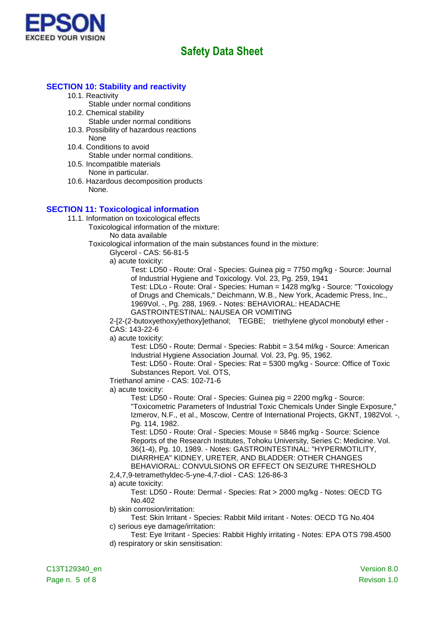

### **SECTION 10: Stability and reactivity**

- 10.1. Reactivity
	- Stable under normal conditions
- 10.2. Chemical stability
	- Stable under normal conditions
- 10.3. Possibility of hazardous reactions None
- 10.4. Conditions to avoid Stable under normal conditions.
- 10.5. Incompatible materials None in particular.
- 10.6. Hazardous decomposition products None.

## **SECTION 11: Toxicological information**

- 11.1. Information on toxicological effects
	- Toxicological information of the mixture:
		- No data available

Toxicological information of the main substances found in the mixture:

- Glycerol CAS: 56-81-5
- a) acute toxicity:
	- Test: LD50 Route: Oral Species: Guinea pig = 7750 mg/kg Source: Journal of Industrial Hygiene and Toxicology. Vol. 23, Pg. 259, 1941
	- Test: LDLo Route: Oral Species: Human = 1428 mg/kg Source: "Toxicology of Drugs and Chemicals," Deichmann, W.B., New York, Academic Press, Inc., 1969Vol. -, Pg. 288, 1969. - Notes: BEHAVIORAL: HEADACHE GASTROINTESTINAL: NAUSEA OR VOMITING
- 2-[2-(2-butoxyethoxy)ethoxy]ethanol; TEGBE; triethylene glycol monobutyl ether CAS: 143-22-6

a) acute toxicity:

Test: LD50 - Route: Dermal - Species: Rabbit = 3.54 ml/kg - Source: American Industrial Hygiene Association Journal. Vol. 23, Pg. 95, 1962.

Test: LD50 - Route: Oral - Species: Rat = 5300 mg/kg - Source: Office of Toxic Substances Report. Vol. OTS,

- Triethanol amine CAS: 102-71-6
- a) acute toxicity:

Test: LD50 - Route: Oral - Species: Guinea pig = 2200 mg/kg - Source: "Toxicometric Parameters of Industrial Toxic Chemicals Under Single Exposure," Izmerov, N.F., et al., Moscow, Centre of International Projects, GKNT, 1982Vol. -, Pg. 114, 1982.

Test: LD50 - Route: Oral - Species: Mouse = 5846 mg/kg - Source: Science Reports of the Research Institutes, Tohoku University, Series C: Medicine. Vol. 36(1-4), Pg. 10, 1989. - Notes: GASTROINTESTINAL: "HYPERMOTILITY, DIARRHEA" KIDNEY, URETER, AND BLADDER: OTHER CHANGES BEHAVIORAL: CONVULSIONS OR EFFECT ON SEIZURE THRESHOLD

- 2,4,7,9-tetramethyldec-5-yne-4,7-diol CAS: 126-86-3
- a) acute toxicity:
	- Test: LD50 Route: Dermal Species: Rat > 2000 mg/kg Notes: OECD TG No.402
- b) skin corrosion/irritation:
- Test: Skin Irritant Species: Rabbit Mild irritant Notes: OECD TG No.404 c) serious eye damage/irritation:
- Test: Eye Irritant Species: Rabbit Highly irritating Notes: EPA OTS 798.4500 d) respiratory or skin sensitisation: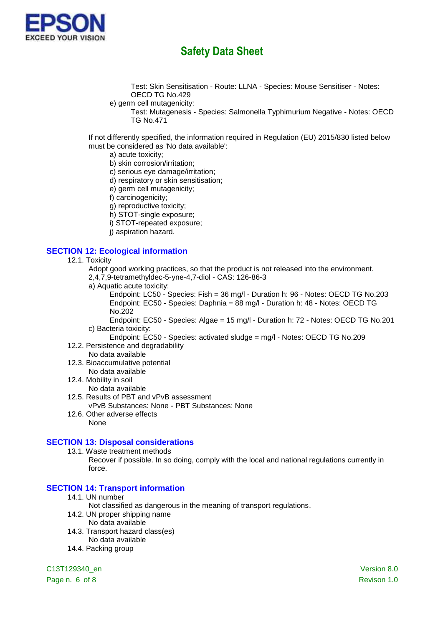

Test: Skin Sensitisation - Route: LLNA - Species: Mouse Sensitiser - Notes: OECD TG No.429

- e) germ cell mutagenicity:
	- Test: Mutagenesis Species: Salmonella Typhimurium Negative Notes: OECD TG No.471

If not differently specified, the information required in Regulation (EU) 2015/830 listed below must be considered as 'No data available':

- a) acute toxicity;
- b) skin corrosion/irritation;
- c) serious eye damage/irritation;
- d) respiratory or skin sensitisation;
- e) germ cell mutagenicity;
- f) carcinogenicity;
- g) reproductive toxicity;
- h) STOT-single exposure;
- i) STOT-repeated exposure;
- j) aspiration hazard.

## **SECTION 12: Ecological information**

- 12.1. Toxicity
	- Adopt good working practices, so that the product is not released into the environment.
	- 2,4,7,9-tetramethyldec-5-yne-4,7-diol CAS: 126-86-3
	- a) Aquatic acute toxicity:

Endpoint: LC50 - Species: Fish = 36 mg/l - Duration h: 96 - Notes: OECD TG No.203 Endpoint: EC50 - Species: Daphnia = 88 mg/l - Duration h: 48 - Notes: OECD TG No.202

- Endpoint: EC50 Species: Algae = 15 mg/l Duration h: 72 Notes: OECD TG No.201 c) Bacteria toxicity:
- Endpoint: EC50 Species: activated sludge = mg/l Notes: OECD TG No.209 12.2. Persistence and degradability
- No data available
- 12.3. Bioaccumulative potential
- No data available
- 12.4. Mobility in soil
- No data available
- 12.5. Results of PBT and vPvB assessment vPvB Substances: None - PBT Substances: None
- 12.6. Other adverse effects None
- 
- **SECTION 13: Disposal considerations**
	- 13.1. Waste treatment methods

Recover if possible. In so doing, comply with the local and national regulations currently in force.

## **SECTION 14: Transport information**

- 14.1. UN number
	- Not classified as dangerous in the meaning of transport regulations.
- 14.2. UN proper shipping name
	- No data available
- 14.3. Transport hazard class(es)
	- No data available
- 14.4. Packing group

C13T129340\_en Version 8.0

Page n. 6 of 8 Revison 1.0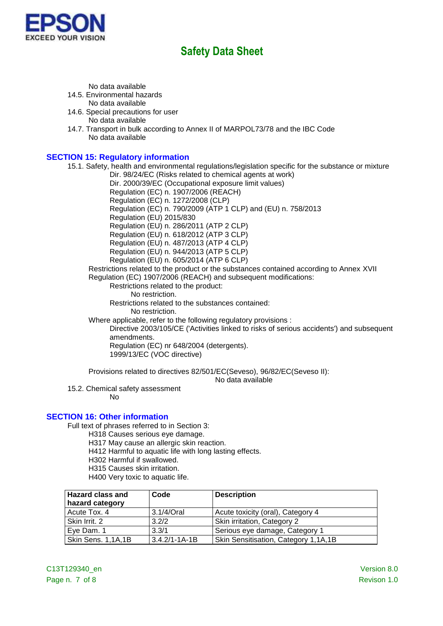

No data available

14.5. Environmental hazards

No data available

- 14.6. Special precautions for user No data available
- 14.7. Transport in bulk according to Annex II of MARPOL73/78 and the IBC Code No data available

## **SECTION 15: Regulatory information**

15.1. Safety, health and environmental regulations/legislation specific for the substance or mixture

Dir. 98/24/EC (Risks related to chemical agents at work)

Dir. 2000/39/EC (Occupational exposure limit values)

Regulation (EC) n. 1907/2006 (REACH) Regulation (EC) n. 1272/2008 (CLP)

Regulation (EC) n. 790/2009 (ATP 1 CLP) and (EU) n. 758/2013

Regulation (EU) 2015/830

Regulation (EU) n. 286/2011 (ATP 2 CLP)

Regulation (EU) n. 618/2012 (ATP 3 CLP)

Regulation (EU) n. 487/2013 (ATP 4 CLP)

Regulation (EU) n. 944/2013 (ATP 5 CLP)

Regulation (EU) n. 605/2014 (ATP 6 CLP)

Restrictions related to the product or the substances contained according to Annex XVII Regulation (EC) 1907/2006 (REACH) and subsequent modifications:

Restrictions related to the product:

No restriction.

Restrictions related to the substances contained:

No restriction.

Where applicable, refer to the following regulatory provisions :

Directive 2003/105/CE ('Activities linked to risks of serious accidents') and subsequent amendments.

Regulation (EC) nr 648/2004 (detergents). 1999/13/EC (VOC directive)

Provisions related to directives 82/501/EC(Seveso), 96/82/EC(Seveso II):

No data available

15.2. Chemical safety assessment

No

## **SECTION 16: Other information**

Full text of phrases referred to in Section 3:

- H318 Causes serious eye damage.
- H317 May cause an allergic skin reaction.
- H412 Harmful to aquatic life with long lasting effects.
- H302 Harmful if swallowed.
- H315 Causes skin irritation.
- H400 Very toxic to aquatic life.

| <b>Hazard class and</b><br>hazard category | Code                | <b>Description</b>                   |
|--------------------------------------------|---------------------|--------------------------------------|
| Acute Tox. 4                               | 3.1/4/Oral          | Acute toxicity (oral), Category 4    |
| Skin Irrit, 2                              | 3.2/2               | Skin irritation, Category 2          |
| Eve Dam. 1                                 | 3.3/1               | Serious eye damage, Category 1       |
| Skin Sens. 1,1A,1B                         | $3.4.2/1 - 1A - 1B$ | Skin Sensitisation, Category 1,1A,1B |